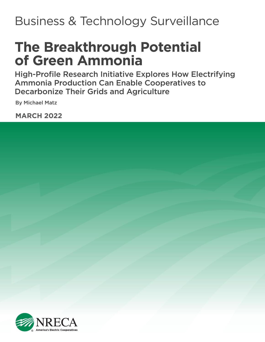## Business & Technology Surveillance

# **The Breakthrough Potential of Green Ammonia**

High-Profile Research Initiative Explores How Electrifying Ammonia Production Can Enable Cooperatives to Decarbonize Their Grids and Agriculture

By Michael Matz

**MARCH 2022**



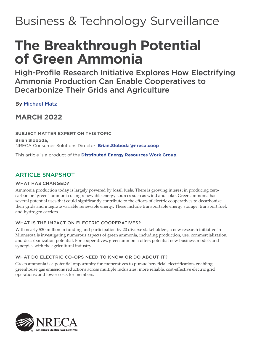## Business & Technology Surveillance

# **The Breakthrough Potential of Green Ammonia**

High-Profile Research Initiative Explores How Electrifying Ammonia Production Can Enable Cooperatives to Decarbonize Their Grids and Agriculture

B[y Michael Matz](#page-10-0) 

**MARCH 2022**

### **SUBJECT MATTER EXPERT ON THIS TOPIC**

**Brian Sloboda,**  NRECA Consumer Solutions Director: **Brian.Sloboda@nreca.coop**

This article is a product of the **[Distributed Energy Resources Work Group](#page-10-0)**.

## ARTICLE SNAPSHOT

#### WHAT HAS CHANGED?

Ammonia production today is largely powered by fossil fuels. There is growing interest in producing zerocarbon or "green" ammonia using renewable energy sources such as wind and solar. Green ammonia has several potential uses that could significantly contribute to the efforts of electric cooperatives to decarbonize their grids and integrate variable renewable energy. These include transportable energy storage, transport fuel, and hydrogen carriers.

#### WHAT IS THE IMPACT ON ELECTRIC COOPERATIVES?

With nearly \$30 million in funding and participation by 20 diverse stakeholders, a new research initiative in Minnesota is investigating numerous aspects of green ammonia, including production, use, commercialization, and decarbonization potential. For cooperatives, green ammonia offers potential new business models and synergies with the agricultural industry.

#### WHAT DO ELECTRIC CO-OPS NEED TO KNOW OR DO ABOUT IT?

Green ammonia is a potential opportunity for cooperatives to pursue beneficial electrification, enabling greenhouse gas emissions reductions across multiple industries; more reliable, cost-effective electric grid operations; and lower costs for members.

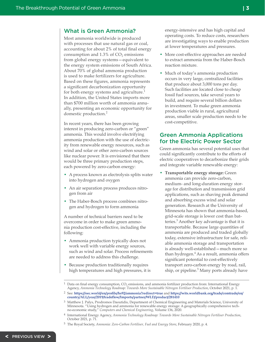#### What is Green Ammonia?

Most ammonia worldwide is produced with processes that use natural gas or coal, accounting for about 2% of total final energy consumption and  $1.3\%$  of  $CO<sub>2</sub>$  emissions from global energy systems—equivalent to the energy system emissions of South Africa. About 70% of global ammonia production is used to make fertilizers for agriculture. Based on these figures, ammonia represents a significant decarbonization opportunity for both energy systems and agriculture.<sup>1</sup> In addition, the United States imports more than \$700 million worth of ammonia annually, presenting an economic opportunity for domestic production.<sup>2</sup>

In recent years, there has been growing interest in producing zero-carbon or "green" ammonia. This would involve electrifying ammonia production with the use of electricity from renewable energy resources, such as wind and solar or other zero-carbon sources like nuclear power. It is envisioned that there would be three primary production steps, each powered by zero-carbon energy:

- A process known as electrolysis splits water into hydrogen and oxygen
- An air separation process produces nitrogen from air
- The Haber-Bosch process combines nitrogen and hydrogen to form ammonia

A number of technical barriers need to be overcome in order to make green ammonia production cost-effective, including the following:

- Ammonia production typically does not work well with variable energy sources, such as wind and solar. Process refinements are needed to address this challenge.
- Because production traditionally requires high temperatures and high pressures, it is

energy-intensive and has high capital and operating costs. To reduce costs, researchers are investigating ways to enable production at lower temperatures and pressures.

- More cost-effective approaches are needed to extract ammonia from the Haber-Bosch reaction mixture.
- Much of today's ammonia production occurs in very large, centralized facilities that produce about 3,000 tons per day. Such facilities are located close to cheap fossil fuel sources, take several years to build, and require several billion dollars in investment. To make green ammonia production viable in rural, agricultural areas, smaller scale production needs to be cost-competitive.

#### Green Ammonia Applications for the Electric Power Sector

Green ammonia has several potential uses that could significantly contribute to the efforts of electric cooperatives to decarbonize their grids and integrate variable renewable energy:

• **Transportable energy storage:** Green ammonia can provide zero-carbon, medium- and long-duration energy storage for distribution and transmission grid applications, such as shaving peak demand and absorbing excess wind and solar generation. Research at the University of Minnesota has shown that ammonia-based, grid-scale storage is lower cost than batteries.<sup>3</sup> Another key advantage is that it is transportable. Because large quantities of ammonia are produced and traded globally today, extensive infrastructure for safe, reliable ammonia storage and transportation is already well-established—much more so than hydrogen.<sup>4</sup> As a result, ammonia offers significant potential to cost-effectively transport zero-carbon energy by road, rail, ship, or pipeline.<sup>5</sup> Many ports already have

Data on final energy consumption, CO<sub>2</sub> emissions, and ammonia fertilizer production from: International Energy Agency, *Ammonia Technology Roadmap: Towards More Sustainable Nitrogen Fertiliser Production*, October 2021, p. 1.

<sup>2</sup> See: **https://oec.world/en/profile/hs92/ammonia?redirect=true** and **[https://wits.worldbank.org/trade/comtrade/en/](https://wits.worldbank.org/trade/comtrade/en/country/ALL/year/2019/tradeflow/Imports/partner/WLD/product/281410) [country/ALL/year/2019/tradeflow/Imports/partner/WLD/product/281410](https://wits.worldbank.org/trade/comtrade/en/country/ALL/year/2019/tradeflow/Imports/partner/WLD/product/281410)**

<sup>3</sup> Matthew J. Palys, Prodromos Daoutidis, Department of Chemical Engineering and Materials Science, University of Minnesota. "Using hydrogen and ammonia for renewable energy storage: A geographically comprehensive techno-economic study," *Computers and Chemical Engineering*, Volume 136, 2020.

<sup>4</sup> International Energy Agency, *Ammonia Technology Roadmap: Towards More Sustainable Nitrogen Fertiliser Production*, October 2021, p. 71.

<sup>5</sup> The Royal Society, *Ammonia: Zero-Carbon Fertiliser, Fuel and Energy Store*, February 2020, p. 4.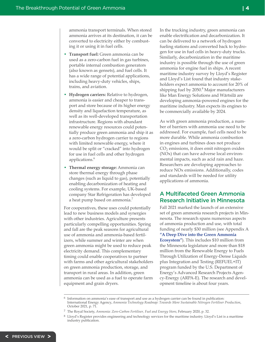ammonia transport terminals. When stored ammonia arrives at its destination, it can be converted to electricity either by combusting it or using it in fuel cells.

- **Transport fuel:** Green ammonia can be used as a zero-carbon fuel in gas turbines, portable internal combustion generators (also known as gensets), and fuel cells. It has a wide range of potential applications, including heavy-duty vehicles, ships, trains, and aviation.
- **Hydrogen carriers:** Relative to hydrogen, ammonia is easier and cheaper to transport and store because of its higher energy density and liquefaction temperature, as well as its well-developed transportation infrastructure. Regions with abundant renewable energy resources could potentially produce green ammonia and ship it as a zero-carbon hydrogen carrier to regions with limited renewable energy, where it would be split or "cracked" into hydrogen for use in fuel cells and other hydrogen applications.<sup>6</sup>
- **Thermal energy storage:** Ammonia can store thermal energy through phase changes (such as liquid to gas), potentially enabling decarbonization of heating and cooling systems. For example, UK-based company Star Refrigeration has developed a heat pump based on ammonia.<sup>7</sup>

For cooperatives, these uses could potentially lead to new business models and synergies with other industries. Agriculture presents particularly compelling opportunities. Spring and fall are the peak seasons for agricultural use of ammonia and ammonia-based fertilizers, while summer and winter are when green ammonia might be used to reduce peak electricity demand. This complementary timing could enable cooperatives to partner with farms and other agricultural stakeholders on green ammonia production, storage, and transport in rural areas. In addition, green ammonia can be used as a fuel to operate farm equipment and grain dryers.

In the trucking industry, green ammonia can enable electrification and decarbonization. It can be delivered to a network of hydrogen fueling stations and converted back to hydrogen for use in fuel cells in heavy-duty trucks. Similarly, decarbonization in the maritime industry is possible through the use of green ammonia for engine fuel in ships. A recent maritime industry survey by Lloyd's Register and Lloyd's List found that industry stakeholders expect ammonia to account for 20% of shipping fuel by 2050.<sup>8</sup> Major manufacturers like Man Energy Solutions and Wärtsilä are developing ammonia-powered engines for the maritime industry. Man expects its engines to be commercially available by 2024.

As with green ammonia production, a number of barriers with ammonia use need to be addressed. For example, fuel cells need to be more durable. While ammonia combustion in engines and turbines does not produce CO*2* emissions, it does emit nitrogen oxides (NOx) that can have adverse local environmental impacts, such as acid rain and haze. Researchers are developing approaches to reduce NOx emissions. Additionally, codes and standards will be needed for utility applications of ammonia.

### A Multifaceted Green Ammonia Research Initiative in Minnesota

Fall 2021 marked the launch of an extensive set of green ammonia research projects in Minnesota. The research spans numerous aspects of ammonia production and use, with total funding of nearly \$30 million (see Appendix A **["A Deep Dive into the Green Ammonia](#page-8-0)  Ecosystem"**). This includes \$10 million from the Minnesota legislature and more than \$18 million from the Renewable Energy to Fuels Through Utilization of Energy-Dense Liquids plus Integration and Testing (REFUEL+IT) program funded by the U.S. Department of Energy's Advanced Research Projects Agency-Energy (ARPA-E). The research and development timeline is about four years.

<sup>6</sup> Information on ammonia's ease of transport and use as a hydrogen carrier can be found in publication: International Energy Agency, *Ammonia Technology Roadmap: Towards More Sustainable Nitrogen Fertiliser Production*, October 2021, p. 71.

<sup>7</sup> The Royal Society, *Ammonia: Zero-Carbon Fertiliser, Fuel and Energy Store*, February 2020, p. 32.

<sup>8</sup> Lloyd's Register provides engineering and technology services for the maritime industry. Lloyd's List is a maritime industry publication.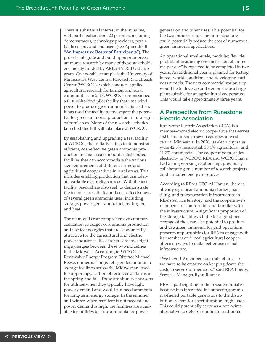There is substantial interest in the initiative, with participation from 20 partners, including demonstrators, technology providers, potential licensors, and end users (see Appendix B **["An Impressive Roster of Participants"](#page-9-0)**). The projects integrate and build upon prior green ammonia research by many of these stakeholders, mostly funded by ARPA-E's REFUEL program. One notable example is the University of Minnesota's West Central Research & Outreach Center (WCROC), which conducts applied agricultural research for farmers and rural communities. In 2013, WCROC commissioned a first-of-its-kind pilot facility that uses wind power to produce green ammonia. Since then, it has used the facility to investigate the potential for green ammonia production in rural agricultural areas. Many of the research activities launched this fall will take place at WCROC.

By establishing and upgrading a test facility at WCROC, the initiative aims to demonstrate efficient, cost-effective green ammonia production in small-scale, modular distributed facilities that can accommodate the various size requirements of different farms and agricultural cooperatives in rural areas. This includes enabling production that can tolerate variable electricity sources. With the test facility, researchers also seek to demonstrate the technical feasibility and cost-effectiveness of several green ammonia uses, including storage, power generation, fuel, hydrogen, and heat.

The team will craft comprehensive commercialization packages of ammonia production and use technologies that are economically attractive for the agricultural and electric power industries. Researchers are investigating synergies between these two industries in the Midwest. According to WCROC's Renewable Energy Program Director Michael Reese, numerous large, refrigerated ammonia storage facilities across the Midwest are used to support application of fertilizer on farms in the spring and fall. These are shoulder seasons for utilities when they typically have light power demand and would not need ammonia for long-term energy storage. In the summer and winter, when fertilizer is not needed and power demand is high, the facilities are available for utilities to store ammonia for power

generation and other uses. This potential for the two industries to share infrastructure could potentially reduce the cost of numerous green ammonia applications.

An operational small-scale, modular, flexible pilot plant producing one metric ton of ammonia per day<sup>9</sup> is expected to be completed in two years. An additional year is planned for testing in real-world conditions and developing business models. The next commercialization step would be to develop and demonstrate a larger plant suitable for an agricultural cooperative. This would take approximately three years.

#### A Perspective from Runestone Electric Association

Runestone Electric Association (REA) is a member-owned electric cooperative that serves 15,000 members in seven counties in west central Minnesota. In 2020, its electricity sales were 42.8% residential, 30.4% agricultural, and 11.7% commercial. The cooperative provides electricity to WCROC. REA and WCROC have had a long working relationship, previously collaborating on a number of research projects on distributed energy resources.

According to REA's CEO Al Haman, there is already significant ammonia storage, handling, and transportation infrastructure in REA's service territory, and the cooperative's members are comfortable and familiar with the infrastructure. A significant proportion of the storage facilities sit idle for a good percentage of the year. The potential to produce and use green ammonia for grid operations presents opportunities for REA to engage with its members and local agricultural cooperatives on ways to make better use of that infrastructure.

"We have 4.9 members per mile of line, so we have to be creative on keeping down the costs to serve our members," said REA Energy Services Manager Ryan Rooney.

REA is participating in the research initiative because it is interested in connecting ammonia-fueled portable generators to the distribution system for short-duration, high loads. This could potentially serve as a non-wires alternative to defer or eliminate traditional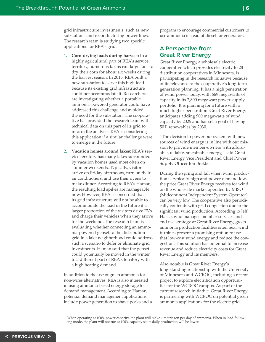grid infrastructure investments, such as new substations and reconductoring power lines. The research team is studying two specific applications for REA's grid:

- **1. Corn-drying loads during harvest:** In a highly agricultural part of REA's service territory, numerous farms run large fans to dry their corn for about six weeks during the harvest season. In 2016, REA built a new substation to serve this high load because its existing grid infrastructure could not accommodate it. Researchers are investigating whether a portable ammonia-powered generator could have addressed this challenge and avoided the need for the substation. The cooperative has provided the research team with technical data on this part of its grid to inform the analysis. REA is considering this application if a similar challenge were to emerge in the future.
- **2. Vacation homes around lakes:** REA's service territory has many lakes surrounded by vacation homes used most often on summer weekends. Typically, visitors arrive on Friday afternoons, turn on their air conditioners, and use their ovens to make dinner. According to REA's Haman, the resulting load spikes are manageable now. However, REA is concerned that its grid infrastructure will not be able to accommodate the load in the future if a larger proportion of the visitors drive EVs and charge their vehicles when they arrive for the weekend. The research team is evaluating whether connecting an ammonia-powered genset to the distribution grid in a lake neighborhood could address such a scenario to defer or eliminate grid investments. Haman said that the genset could potentially be moved in the winter to a different part of REA's territory with a high heating demand.

In addition to the use of green ammonia for non-wires alternatives, REA is also interested in using ammonia-based energy storage for demand management. According to Haman, potential demand management applications include power generation to shave peaks and a program to encourage commercial customers to use ammonia instead of diesel for generators.

## A Perspective from Great River Energy

Great River Energy, a wholesale electric cooperative which provides electricity to 28 distribution cooperatives in Minnesota, is participating in the research initiative because of its relevance to the cooperative's long-term generation planning. It has a high penetration of wind power today, with 669 megawatts of capacity in its 2,800 megawatt power supply portfolio. It is planning for a future with a much higher penetration. Great River Energy anticipates adding 900 megawatts of wind capacity by 2025 and has set a goal of having 50% renewables by 2030.

"The decision to power our system with new sources of wind energy is in line with our mission to provide member-owners with affordable, reliable, sustainable energy," said Great River Energy Vice President and Chief Power Supply Officer Jon Brekke.

During the spring and fall when wind production is typically hig[h and power](#page-6-0) demand low, the price Great River Energy receives for wind on the wholesale market operated by MISO (Midcontinent Independent System Operator) can be very low. The cooperative also periodically contends with grid congestion due to the significant wind production. According to Jeff Haase, who manages member services and end use strategy at Great River Energy, green ammonia production facilities sited near wind turbines present a promising option to use that low-cost wind energy and reduce the congestion. This solution has potential to increase revenue and reduce electricity costs for Great River Energy and its members.

Also notable is Great River Energy's long-standing relationship with the University of Minnesota and WCROC, including a recent project to explore electrification opportunities for the WCROC campus. As part of the current research initiative, Great River Energy is partnering with WCROC on potential green ammonia applications for the electric grid.

 $9\,$  When operating at 100% power capacity, the plant will make 1 metric ton per day of ammonia. When in load-following mode, the plant will not run at 100% capacity so its daily production will be lower.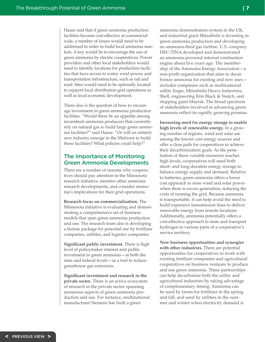<span id="page-6-0"></span>Haase said that if green ammonia production facilities become cost-effective at commercial scale, a number of issues would need to be addressed in order to build local ammonia markets. A key would be to encourage the use of green ammonia by electric cooperatives. Power providers and other local stakeholders would need to identify locations for production facilities that have access to water, wind power, and transportation infrastructure, such as rail and road. Sites would need to be optimally located to support local distribution grid operations as well as local economic development.

There also is the question of how to encourage investment in green ammonia production facilities. "Would there be an appetite among incumbent ammonia producers that currently rely on natural gas to build large green ammonia facilities?" said Haase. "Or will an entirely new industry emerge in the Midwest to build these facilities? What policies could help?"

### The Importance of Monitoring Green Ammonia Developments

There are a number of reasons why cooperatives should pay attention to the Minnesota research initiative, monitor other ammonia research developments, and consider ammonia's implications for their grid operations.

**Research focus on commercialization.** The Minnesota initiative is evaluating and demonstrating a comprehensive set of business models that span green ammonia production and use. The research team also is developing a license package for potential use by fertilizer companies, utilities, and logistics companies.

**Significant public investment.** There is high level of policymaker interest and public investment in green ammonia—at both the state and federal levels—as a tool to reduce greenhouse gas emissions.

**Significant investment and research in the private sector.** There is an active ecosystem of research in the private sector spanning numerous aspects of green ammonia production and use. For instance, multinational manufacturer Siemens has built a green

ammonia demonstration system in the UK, and industrial giant Mitsubishi is investing in green ammonia production and developing an ammonia-fired gas turbine. U.S. company HEC-TINA developed and demonstrated an ammonia-powered internal combustion engine about five years ago. The membership of the Ammonia Energy Association—a non-profit organization that aims to decarbonize ammonia for existing and new uses includes companies such as multinational utility Engie, Mitsubishi Heavy Industries, Shell, engineering firm Black & Veatch, and shipping giant Maersk. The broad spectrum of stakeholders involved in advancing green ammonia reflect its rapidly growing promise.

**Increasing need for energy storage to enable high levels of renewable energy.** In a growing number of regions, wind and solar are among the lowest cost energy sources and offer a clear path for cooperatives to achieve their decarbonization goals. As the penetration of these variable resources reaches high levels, cooperatives will need both short- and long-duration energy storage to balance energy supply and demand. Relative to batteries, green ammonia offers a lower cost approach to store wind and solar power when there is excess generation, reducing the costs of running the grid. Because ammonia is transportable, it can help avoid the need to build expensive transmission lines to deliver renewable energy from remote locations. Additionally, ammonia potentially offers a cost-effective approach to store and transport hydrogen to various parts of a cooperative's service territory.

**New business opportunities and synergies with other industries.** There are potential opportunities for cooperatives to work with existing fertilizer companies and agricultural cooperatives on business ventures to produce and use green ammonia. These partnerships can help decarbonize both the utility and agricultural industries by taking advantage of complementary timing: Ammonia can be used by farms for fertilizer in the spring and fall, and used by utilities in the summer and winter when electricity demand is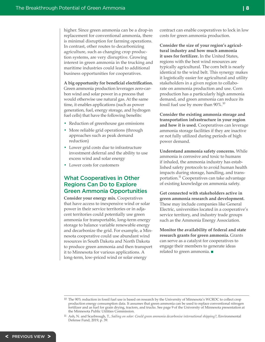higher. Since green ammonia can be a drop-in replacement for conventional ammonia, there is minimal disruption for farming operations. In contrast, other routes to decarbonizing agriculture, such as changing crop production systems, are very disruptive. Growing interest in green ammonia in the trucking and maritime industries could lead to additional business opportunities for cooperatives.

**A big opportunity for beneficial electrification.**  Green ammonia production leverages zero-carbon wind and solar power in a process that would otherwise use natural gas. At the same time, it enables applications (such as power generation, fuel, energy storage, and hydrogen fuel cells) that have the following benefits:

- Reduction of greenhouse gas emissions
- More reliable grid operations (through approaches such as peak demand reduction)
- Lower grid costs due to infrastructure investment deferral and the ability to use excess wind and solar energy
- Lower costs for customers

### What Cooperatives in Other Regions Can Do to Explore Green Ammonia Opportunities

**Consider your energy mix.** Cooperatives that have access to inexpensive wind or solar power in their service territories or in adjacent territories could potentially use green ammonia for transportable, long-term energy storage to balance variable renewable energy and decarbonize the grid. For example, a Minnesota cooperative could use abundant wind resources in South Dakota and North Dakota to produce green ammonia and then transport it to Minnesota for various applications. A long-term, low-priced wind or solar energy

contract can enable cooperatives to lock in low costs for green ammonia production.

**Consider the size of your region's agricultural industry and how much ammonia it uses for fertilizer.** In the United States, regions with the best wind resources are typically agricultural. The corn belt is nearly identical to the wind belt. This synergy makes it logistically easier for agricultural and utility stakeholders in a given region to collaborate on ammonia production and use. Corn production has a particularly high ammonia demand, and green ammonia can reduce its fossil fuel use by more than 90%.<sup>10</sup>

**Consider the existing ammonia storage and transportation infrastructure in your region and how it is used.** Cooperatives can leverage ammonia storage facilities if they are inactive or not fully utilized during periods of high power demand.

**Understand ammonia safety concerns.** While ammonia is corrosive and toxic to humans if inhaled, the ammonia industry has established safety protocols to avoid human health impacts during storage, handling, and transportation.<sup>11</sup> Cooperatives can take advantage of existing knowledge on ammonia safety.

**Get connected with stakeholders active in green ammonia research and development.**  These may include companies like General Electric, universities located in a cooperative's service territory, and industry trade groups such as the Ammonia Energy Association.

**Monitor the availability of federal and state research grants for green ammonia.** Grants can serve as a catalyst for cooperatives to engage their members to generate ideas related to green ammonia.  $\blacksquare$ 

**| 8**

<sup>10</sup> The 90% reduction in fossil fuel use is based on research by the University of Minnesota's WCROC to collect crop production energy consumption data. It assumes that green ammonia can be used to replace conventional nitrogen fertilizer and as fuel for grain drying, tractors, and trucks. See page 9 of the University of Minnesota presentation at the Minnesota Public Utilities Commission.

<sup>11</sup> Ash, N. and Scarbrough, T., *Sailing on solar: Could green ammonia decarbonise international shipping?*, Environmental Defense Fund, 2019, p. 39.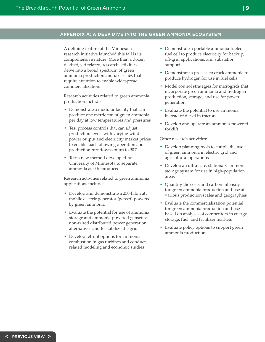#### <span id="page-8-0"></span>**APPENDIX A: A DEEP DIVE INTO THE GREEN AMMONIA ECOSYSTEM**

A defining feature of the Minnesota research initiative launched this fall is its comprehensive nature. More than a dozen distinct, yet related, research activities delve into a broad spectrum of green ammonia production and use issues that require attention to enable widespread commercialization.

Research activities related to green ammonia production include:

- Demonstrate a modular facility that can produce one metric ton of green ammonia per day at low temperatures and pressures
- Test process controls that can adjust production levels with varying wind power output and electricity market prices to enable load-following operation and production turndowns of up to 90%
- Test a new method developed by University of Minnesota to separate ammonia as it is produced

Research activities related to green ammonia applications include:

- Develop and demonstrate a 250-kilowatt mobile electric generator (genset) powered by green ammonia
- Evaluate the potential for use of ammonia storage and ammonia-powered gensets as non-wired distributed power generation alternatives and to stabilize the grid
- Develop retrofit options for ammonia combustion in gas turbines and conduct related modeling and economic studies
- Demonstrate a portable ammonia-fueled fuel cell to produce electricity for backup, off-grid applications, and substation support
- Demonstrate a process to crack ammonia to produce hydrogen for use in fuel cells
- Model control strategies for microgrids that incorporate green ammonia and hydrogen production, storage, and use for power generation
- Evaluate the potential to use ammonia instead of diesel in tractors
- Develop and operate an ammonia-powered forklift

Other research activities:

- Develop planning tools to couple the use of green ammonia in electric grid and agricultural operations
- Develop an ultra-safe, stationary ammonia storage system for use in high-population areas
- Quantify the costs and carbon intensity for green ammonia production and use at various production scales and geographies
- Evaluate the commercialization potential for green ammonia production and use based on analyses of competitors in energy storage, fuel, and fertilizer markets
- Evaluate policy options to support green ammonia production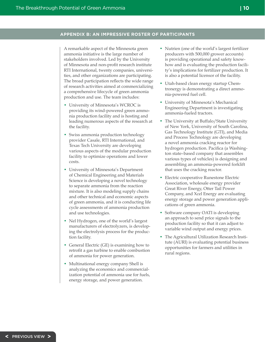#### <span id="page-9-0"></span>**APPENDIX B: AN IMPRESSIVE ROSTER OF PARTICIPANTS**

A remarkable aspect of the Minnesota green ammonia initiative is the large number of stakeholders involved. Led by the University of Minnesota and non-profit research institute RTI International, twenty companies, universities, and other organizations are participating. The broad participation reflects the wide range of research activities aimed at commercializing a comprehensive lifecycle of green ammonia production and use. The team includes:

- University of Minnesota's WCROC is providing its wind-powered green ammonia production facility and is hosting and leading numerous aspects of the research at the facility.
- Swiss ammonia production technology provider Casale, RTI International, and Texas Tech University are developing various aspects of the modular production facility to optimize operations and lower costs.
- University of Minnesota's Department of Chemical Engineering and Materials Science is developing a novel technology to separate ammonia from the reaction mixture. It is also modeling supply chains and other technical and economic aspects of green ammonia, and it is conducting life cycle assessments of ammonia production and use technologies.
- Nel Hydrogen, one of the world's largest manufacturers of electrolyzers, is developing the electrolysis process for the production facility.
- General Electric (GE) is examining how to retrofit a gas turbine to enable combustion of ammonia for power generation.
- Multinational energy company Shell is analyzing the economics and commercialization potential of ammonia use for fuels, energy storage, and power generation.
- Nutrien (one of the world's largest fertilizer producers with 500,000 grower accounts) is providing operational and safety knowhow and is evaluating the production facility's implications for fertilizer production. It is also a potential licensor of the facility.
- Utah-based clean energy startup Chemtronergy is demonstrating a direct ammonia-powered fuel cell.
- University of Minnesota's Mechanical Engineering Department is investigating ammonia-fueled tractors.
- The University at Buffalo/State University of New York, University of South Carolina, Gas Technology Institute (GTI), and Media and Process Technology are developing a novel ammonia cracking reactor for hydrogen production. Pacifica (a Washington state–based company that assembles various types of vehicles) is designing and assembling an ammonia-powered forklift that uses the cracking reactor.
- Electric cooperative Runestone Electric Association, wholesale energy provider Great River Energy, Otter Tail Power Company, and Xcel Energy are evaluating energy storage and power generation applications of green ammonia.
- Software company OATI is developing an approach to send price signals to the production facility so that it can adjust to variable wind output and energy prices.
- The Agricultural Utilization Research Institute (AURI) is evaluating potential business opportunities for farmers and utilities in rural regions.